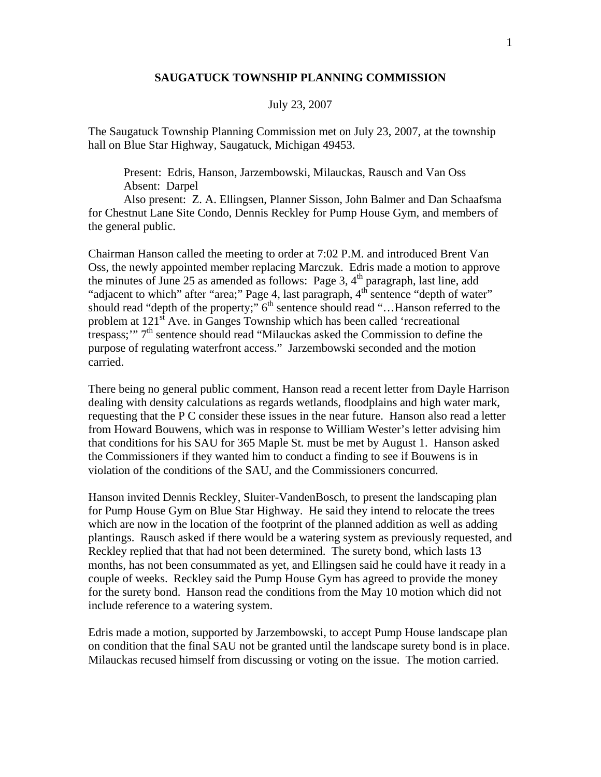## **SAUGATUCK TOWNSHIP PLANNING COMMISSION**

## July 23, 2007

The Saugatuck Township Planning Commission met on July 23, 2007, at the township hall on Blue Star Highway, Saugatuck, Michigan 49453.

 Present: Edris, Hanson, Jarzembowski, Milauckas, Rausch and Van Oss Absent: Darpel

 Also present: Z. A. Ellingsen, Planner Sisson, John Balmer and Dan Schaafsma for Chestnut Lane Site Condo, Dennis Reckley for Pump House Gym, and members of the general public.

Chairman Hanson called the meeting to order at 7:02 P.M. and introduced Brent Van Oss, the newly appointed member replacing Marczuk. Edris made a motion to approve the minutes of June 25 as amended as follows: Page 3,  $4<sup>th</sup>$  paragraph, last line, add "adjacent to which" after "area;" Page 4, last paragraph, 4<sup>th</sup> sentence "depth of water" should read "depth of the property;"  $6<sup>th</sup>$  sentence should read "... Hanson referred to the problem at  $121<sup>st</sup>$  Ave. in Ganges Township which has been called 'recreational trespass;"  $7<sup>th</sup>$  sentence should read "Milauckas asked the Commission to define the purpose of regulating waterfront access." Jarzembowski seconded and the motion carried.

There being no general public comment, Hanson read a recent letter from Dayle Harrison dealing with density calculations as regards wetlands, floodplains and high water mark, requesting that the P C consider these issues in the near future. Hanson also read a letter from Howard Bouwens, which was in response to William Wester's letter advising him that conditions for his SAU for 365 Maple St. must be met by August 1. Hanson asked the Commissioners if they wanted him to conduct a finding to see if Bouwens is in violation of the conditions of the SAU, and the Commissioners concurred.

Hanson invited Dennis Reckley, Sluiter-VandenBosch, to present the landscaping plan for Pump House Gym on Blue Star Highway. He said they intend to relocate the trees which are now in the location of the footprint of the planned addition as well as adding plantings. Rausch asked if there would be a watering system as previously requested, and Reckley replied that that had not been determined. The surety bond, which lasts 13 months, has not been consummated as yet, and Ellingsen said he could have it ready in a couple of weeks. Reckley said the Pump House Gym has agreed to provide the money for the surety bond. Hanson read the conditions from the May 10 motion which did not include reference to a watering system.

Edris made a motion, supported by Jarzembowski, to accept Pump House landscape plan on condition that the final SAU not be granted until the landscape surety bond is in place. Milauckas recused himself from discussing or voting on the issue. The motion carried.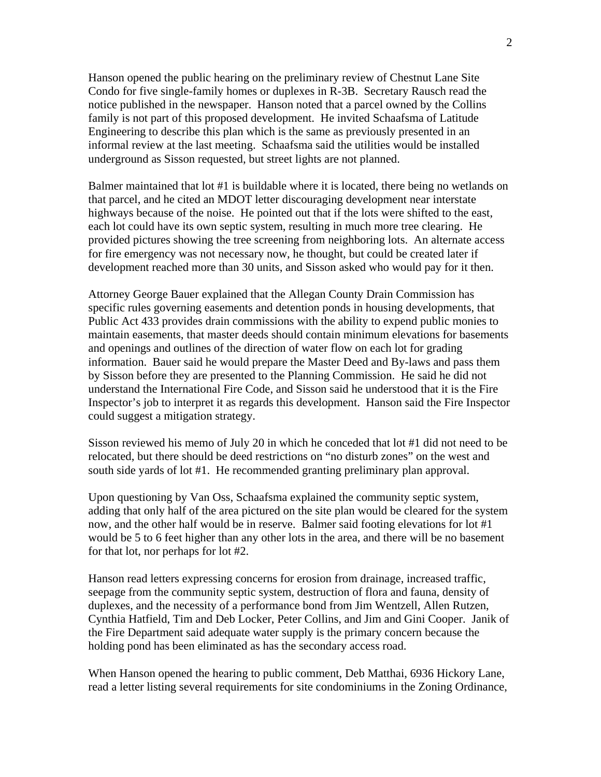Hanson opened the public hearing on the preliminary review of Chestnut Lane Site Condo for five single-family homes or duplexes in R-3B. Secretary Rausch read the notice published in the newspaper. Hanson noted that a parcel owned by the Collins family is not part of this proposed development. He invited Schaafsma of Latitude Engineering to describe this plan which is the same as previously presented in an informal review at the last meeting. Schaafsma said the utilities would be installed underground as Sisson requested, but street lights are not planned.

Balmer maintained that lot #1 is buildable where it is located, there being no wetlands on that parcel, and he cited an MDOT letter discouraging development near interstate highways because of the noise. He pointed out that if the lots were shifted to the east, each lot could have its own septic system, resulting in much more tree clearing. He provided pictures showing the tree screening from neighboring lots. An alternate access for fire emergency was not necessary now, he thought, but could be created later if development reached more than 30 units, and Sisson asked who would pay for it then.

Attorney George Bauer explained that the Allegan County Drain Commission has specific rules governing easements and detention ponds in housing developments, that Public Act 433 provides drain commissions with the ability to expend public monies to maintain easements, that master deeds should contain minimum elevations for basements and openings and outlines of the direction of water flow on each lot for grading information. Bauer said he would prepare the Master Deed and By-laws and pass them by Sisson before they are presented to the Planning Commission. He said he did not understand the International Fire Code, and Sisson said he understood that it is the Fire Inspector's job to interpret it as regards this development. Hanson said the Fire Inspector could suggest a mitigation strategy.

Sisson reviewed his memo of July 20 in which he conceded that lot #1 did not need to be relocated, but there should be deed restrictions on "no disturb zones" on the west and south side yards of lot #1. He recommended granting preliminary plan approval.

Upon questioning by Van Oss, Schaafsma explained the community septic system, adding that only half of the area pictured on the site plan would be cleared for the system now, and the other half would be in reserve. Balmer said footing elevations for lot #1 would be 5 to 6 feet higher than any other lots in the area, and there will be no basement for that lot, nor perhaps for lot #2.

Hanson read letters expressing concerns for erosion from drainage, increased traffic, seepage from the community septic system, destruction of flora and fauna, density of duplexes, and the necessity of a performance bond from Jim Wentzell, Allen Rutzen, Cynthia Hatfield, Tim and Deb Locker, Peter Collins, and Jim and Gini Cooper. Janik of the Fire Department said adequate water supply is the primary concern because the holding pond has been eliminated as has the secondary access road.

When Hanson opened the hearing to public comment, Deb Matthai, 6936 Hickory Lane, read a letter listing several requirements for site condominiums in the Zoning Ordinance,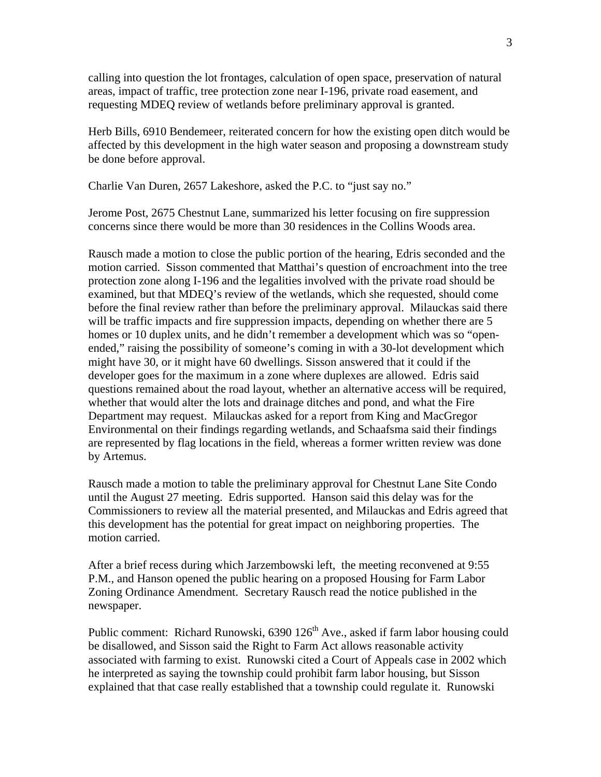calling into question the lot frontages, calculation of open space, preservation of natural areas, impact of traffic, tree protection zone near I-196, private road easement, and requesting MDEQ review of wetlands before preliminary approval is granted.

Herb Bills, 6910 Bendemeer, reiterated concern for how the existing open ditch would be affected by this development in the high water season and proposing a downstream study be done before approval.

Charlie Van Duren, 2657 Lakeshore, asked the P.C. to "just say no."

Jerome Post, 2675 Chestnut Lane, summarized his letter focusing on fire suppression concerns since there would be more than 30 residences in the Collins Woods area.

Rausch made a motion to close the public portion of the hearing, Edris seconded and the motion carried. Sisson commented that Matthai's question of encroachment into the tree protection zone along I-196 and the legalities involved with the private road should be examined, but that MDEQ's review of the wetlands, which she requested, should come before the final review rather than before the preliminary approval. Milauckas said there will be traffic impacts and fire suppression impacts, depending on whether there are 5 homes or 10 duplex units, and he didn't remember a development which was so "openended," raising the possibility of someone's coming in with a 30-lot development which might have 30, or it might have 60 dwellings. Sisson answered that it could if the developer goes for the maximum in a zone where duplexes are allowed. Edris said questions remained about the road layout, whether an alternative access will be required, whether that would alter the lots and drainage ditches and pond, and what the Fire Department may request. Milauckas asked for a report from King and MacGregor Environmental on their findings regarding wetlands, and Schaafsma said their findings are represented by flag locations in the field, whereas a former written review was done by Artemus.

Rausch made a motion to table the preliminary approval for Chestnut Lane Site Condo until the August 27 meeting. Edris supported. Hanson said this delay was for the Commissioners to review all the material presented, and Milauckas and Edris agreed that this development has the potential for great impact on neighboring properties. The motion carried.

After a brief recess during which Jarzembowski left, the meeting reconvened at 9:55 P.M., and Hanson opened the public hearing on a proposed Housing for Farm Labor Zoning Ordinance Amendment. Secretary Rausch read the notice published in the newspaper.

Public comment: Richard Runowski,  $6390\ 126<sup>th</sup>$  Ave., asked if farm labor housing could be disallowed, and Sisson said the Right to Farm Act allows reasonable activity associated with farming to exist. Runowski cited a Court of Appeals case in 2002 which he interpreted as saying the township could prohibit farm labor housing, but Sisson explained that that case really established that a township could regulate it. Runowski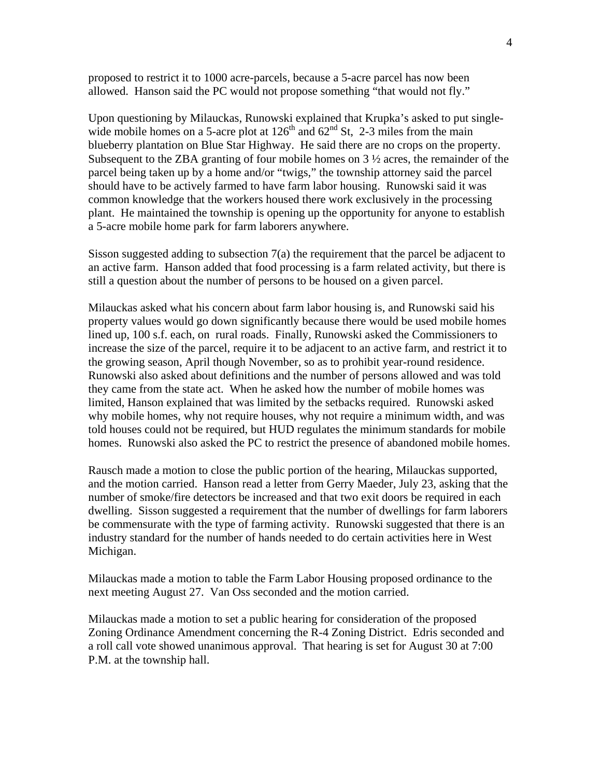proposed to restrict it to 1000 acre-parcels, because a 5-acre parcel has now been allowed. Hanson said the PC would not propose something "that would not fly."

Upon questioning by Milauckas, Runowski explained that Krupka's asked to put singlewide mobile homes on a 5-acre plot at  $126<sup>th</sup>$  and  $62<sup>nd</sup>$  St, 2-3 miles from the main blueberry plantation on Blue Star Highway. He said there are no crops on the property. Subsequent to the ZBA granting of four mobile homes on  $3\frac{1}{2}$  acres, the remainder of the parcel being taken up by a home and/or "twigs," the township attorney said the parcel should have to be actively farmed to have farm labor housing. Runowski said it was common knowledge that the workers housed there work exclusively in the processing plant. He maintained the township is opening up the opportunity for anyone to establish a 5-acre mobile home park for farm laborers anywhere.

Sisson suggested adding to subsection 7(a) the requirement that the parcel be adjacent to an active farm. Hanson added that food processing is a farm related activity, but there is still a question about the number of persons to be housed on a given parcel.

Milauckas asked what his concern about farm labor housing is, and Runowski said his property values would go down significantly because there would be used mobile homes lined up, 100 s.f. each, on rural roads. Finally, Runowski asked the Commissioners to increase the size of the parcel, require it to be adjacent to an active farm, and restrict it to the growing season, April though November, so as to prohibit year-round residence. Runowski also asked about definitions and the number of persons allowed and was told they came from the state act. When he asked how the number of mobile homes was limited, Hanson explained that was limited by the setbacks required. Runowski asked why mobile homes, why not require houses, why not require a minimum width, and was told houses could not be required, but HUD regulates the minimum standards for mobile homes. Runowski also asked the PC to restrict the presence of abandoned mobile homes.

Rausch made a motion to close the public portion of the hearing, Milauckas supported, and the motion carried. Hanson read a letter from Gerry Maeder, July 23, asking that the number of smoke/fire detectors be increased and that two exit doors be required in each dwelling. Sisson suggested a requirement that the number of dwellings for farm laborers be commensurate with the type of farming activity. Runowski suggested that there is an industry standard for the number of hands needed to do certain activities here in West Michigan.

Milauckas made a motion to table the Farm Labor Housing proposed ordinance to the next meeting August 27. Van Oss seconded and the motion carried.

Milauckas made a motion to set a public hearing for consideration of the proposed Zoning Ordinance Amendment concerning the R-4 Zoning District. Edris seconded and a roll call vote showed unanimous approval. That hearing is set for August 30 at 7:00 P.M. at the township hall.